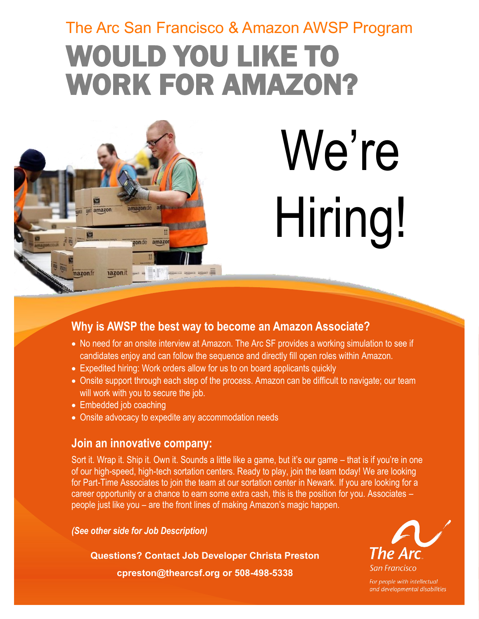# The Arc San Francisco & Amazon AWSP Program WOULD YOU LIKE TO WORK FOR AMAZON?



# We're Hiring!

### **Why is AWSP the best way to become an Amazon Associate?**

- No need for an onsite interview at Amazon. The Arc SF provides a working simulation to see if candidates enjoy and can follow the sequence and directly fill open roles within Amazon.
- Expedited hiring: Work orders allow for us to on board applicants quickly
- Onsite support through each step of the process. Amazon can be difficult to navigate; our team will work with you to secure the job.
- Embedded job coaching
- Onsite advocacy to expedite any accommodation needs

#### **Join an innovative company:**

Sort it. Wrap it. Ship it. Own it. Sounds a little like a game, but it's our game – that is if you're in one of our high-speed, high-tech sortation centers. Ready to play, join the team today! We are looking for Part-Time Associates to join the team at our sortation center in Newark. If you are looking for a career opportunity or a chance to earn some extra cash, this is the position for you. Associates – people just like you – are the front lines of making Amazon's magic happen.

*(See other side for Job Description)*

**Questions? Contact Job Developer Christa Preston**

**cpreston@thearcsf.org or 508-498-5338**



For people with intellectual and developmental disabilities